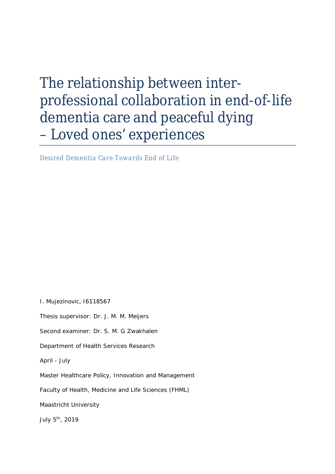# The relationship between interprofessional collaboration in end-of-life dementia care and peaceful dying – Loved ones' experiences

*Desired Dementia Care Towards End of Life*

I. Mujezinovic, I6118567

Thesis supervisor: Dr. J. M. M. Meijers

Second examiner: Dr. S. M. G Zwakhalen

Department of Health Services Research

April - July

Master Healthcare Policy, Innovation and Management

Faculty of Health, Medicine and Life Sciences (FHML)

Maastricht University

July 5<sup>th</sup>, 2019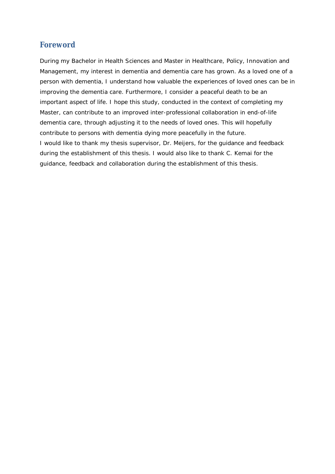# **Foreword**

During my Bachelor in Health Sciences and Master in Healthcare, Policy, Innovation and Management, my interest in dementia and dementia care has grown. As a loved one of a person with dementia, I understand how valuable the experiences of loved ones can be in improving the dementia care. Furthermore, I consider a peaceful death to be an important aspect of life. I hope this study, conducted in the context of completing my Master, can contribute to an improved inter-professional collaboration in end-of-life dementia care, through adjusting it to the needs of loved ones. This will hopefully contribute to persons with dementia dying more peacefully in the future. I would like to thank my thesis supervisor, Dr. Meijers, for the guidance and feedback during the establishment of this thesis. I would also like to thank C. Kemai for the guidance, feedback and collaboration during the establishment of this thesis.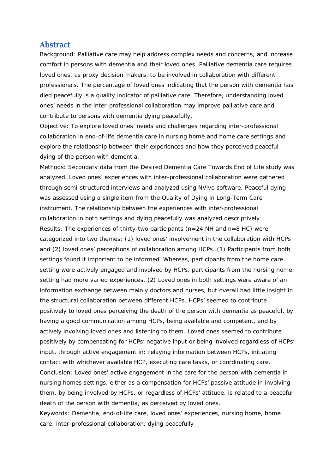# **Abstract**

*Background:* Palliative care may help address complex needs and concerns, and increase comfort in persons with dementia and their loved ones. Palliative dementia care requires loved ones, as proxy decision makers, to be involved in collaboration with different professionals. The percentage of loved ones indicating that the person with dementia has died peacefully is a quality indicator of palliative care. Therefore, understanding loved ones' needs in the inter-professional collaboration may improve palliative care and contribute to persons with dementia dying peacefully.

*Objective:* To explore loved ones' needs and challenges regarding inter-professional collaboration in end-of-life dementia care in nursing home and home care settings and explore the relationship between their experiences and how they perceived peaceful dying of the person with dementia.

*Methods*: Secondary data from the Desired Dementia Care Towards End of Life study was analyzed. Loved ones' experiences with inter-professional collaboration were gathered through semi-structured interviews and analyzed using NVivo software. Peaceful dying was assessed using a single item from the Quality of Dying in Long-Term Care instrument. The relationship between the experiences with inter-professional collaboration in both settings and dying peacefully was analyzed descriptively. *Results:* The experiences of thirty-two participants (n=24 NH and n=8 HC) were categorized into two themes: (1) loved ones' involvement in the collaboration with HCPs and (2) loved ones' perceptions of collaboration among HCPs. (1) Participants from both settings found it important to be informed. Whereas, participants from the home care setting were actively engaged and involved by HCPs, participants from the nursing home setting had more varied experiences. (2) Loved ones in both settings were aware of an information exchange between mainly doctors and nurses, but overall had little insight in the structural collaboration between different HCPs. HCPs' seemed to contribute positively to loved ones perceiving the death of the person with dementia as peaceful, by having a good communication among HCPs, being available and competent, and by actively involving loved ones and listening to them. Loved ones seemed to contribute positively by compensating for HCPs' negative input or being involved regardless of HCPs' input, through active engagement in: relaying information between HCPs, initiating contact with whichever available HCP, executing care tasks, or coordinating care. *Conclusion:* Loved ones' active engagement in the care for the person with dementia in nursing homes settings, either as a compensation for HCPs' passive attitude in involving them, by being involved by HCPs, or regardless of HCPs' attitude, is related to a peaceful death of the person with dementia, as perceived by loved ones. *Keywords:* Dementia, end-of-life care, loved ones' experiences, nursing home, home care, inter-professional collaboration, dying peacefully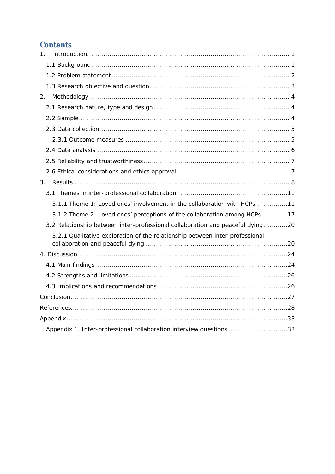# Contents

| $1_{\cdot}$                                                                    |
|--------------------------------------------------------------------------------|
|                                                                                |
|                                                                                |
|                                                                                |
| 2.                                                                             |
|                                                                                |
|                                                                                |
|                                                                                |
|                                                                                |
|                                                                                |
|                                                                                |
|                                                                                |
| 3.                                                                             |
|                                                                                |
| 3.1.1 Theme 1: Loved ones' involvement in the collaboration with HCPs11        |
| 3.1.2 Theme 2: Loved ones' perceptions of the collaboration among HCPs17       |
| 3.2 Relationship between inter-professional collaboration and peaceful dying20 |
| 3.2.1 Qualitative exploration of the relationship between inter-professional   |
|                                                                                |
|                                                                                |
|                                                                                |
|                                                                                |
|                                                                                |
|                                                                                |
|                                                                                |
| Appendix 1. Inter-professional collaboration interview questions 33            |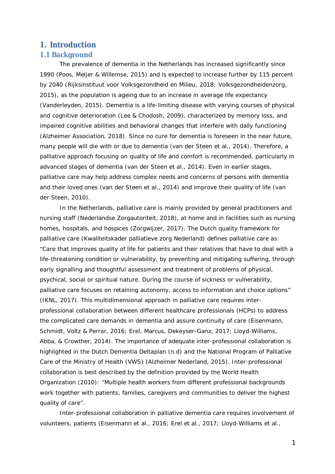# **1. Introduction**

## **1.1 Background**

The prevalence of dementia in the Netherlands has increased significantly since 1990 (Poos, Meijer & Willemse, 2015) and is expected to increase further by 115 percent by 2040 (Rijksinstituut voor Volksgezondheid en Milieu, 2018; Volksgezondheidenzorg, 2015), as the population is ageing due to an increase in average life expectancy (Vanderleyden, 2015). Dementia is a life-limiting disease with varying courses of physical and cognitive deterioration (Lee & Chodosh, 2009), characterized by memory loss, and impaired cognitive abilities and behavioral changes that interfere with daily functioning (Alzheimer Association, 2018). Since no cure for dementia is foreseen in the near future, many people will die with or due to dementia (van der Steen et al., 2014). Therefore, a palliative approach focusing on quality of life and comfort is recommended, particularly in advanced stages of dementia (van der Steen et al., 2014). Even in earlier stages, palliative care may help address complex needs and concerns of persons with dementia and their loved ones (van der Steen et al., 2014) and improve their quality of life (van der Steen, 2010).

In the Netherlands, palliative care is mainly provided by general practitioners and nursing staff (Nederlandse Zorgautoriteit, 2018), at home and in facilities such as nursing homes, hospitals, and hospices (Zorgwijzer, 2017). The Dutch quality framework for palliative care (*Kwaliteitskader palliatieve zorg Nederland)* defines palliative care as: "*Care that improves quality of life for patients and their relatives that have to deal with a life-threatening condition or vulnerability, by preventing and mitigating suffering, through early signalling and thoughtful assessment and treatment of problems of physical, psychical, social or spiritual nature. During the course of sickness or vulnerability, palliative care focuses on retaining autonomy, access to information and choice options*" (IKNL, 2017). This multidimensional approach in palliative care requires interprofessional collaboration between different healthcare professionals (HCPs) to address the complicated care demands in dementia and assure continuity of care (Eisenmann, Schmidt, Voltz & Perrar, 2016; Erel, Marcus, Dekeyser-Ganz, 2017; Lloyd-Williams, Abba, & Crowther, 2014). The importance of adequate inter-professional collaboration is highlighted in the Dutch Dementia Deltaplan (n.d) and the National Program of Palliative Care of the Ministry of Health (VWS) (Alzheimer Nederland, 2015). Inter-professional collaboration is best described by the definition provided by the World Health Organization (2010): "*Multiple health workers from different professional backgrounds work together with patients, families, caregivers and communities to deliver the highest quality of care".*

Inter-professional collaboration in palliative dementia care requires involvement of volunteers, patients (Eisenmann et al., 2016; Erel et al., 2017; Lloyd-Williams et al.,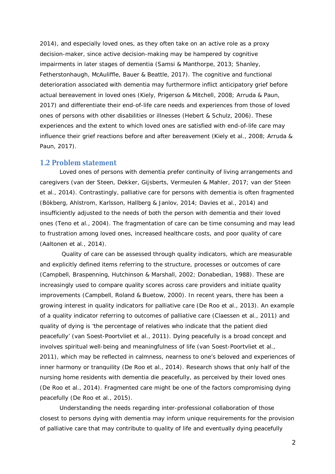2014), and especially loved ones, as they often take on an active role as a proxy decision-maker, since active decision-making may be hampered by cognitive impairments in later stages of dementia (Samsi & Manthorpe, 2013; Shanley, Fetherstonhaugh, McAuliffle, Bauer & Beattle, 2017). The cognitive and functional deterioration associated with dementia may furthermore inflict anticipatory grief before actual bereavement in loved ones (Kiely, Prigerson & Mitchell, 2008; Arruda & Paun, 2017) and differentiate their end-of-life care needs and experiences from those of loved ones of persons with other disabilities or illnesses (Hebert & Schulz, 2006). These experiences and the extent to which loved ones are satisfied with end-of-life care may influence their grief reactions before and after bereavement (Kiely et al., 2008; Arruda & Paun, 2017).

#### **1.2 Problem statement**

Loved ones of persons with dementia prefer continuity of living arrangements and caregivers (van der Steen, Dekker, Gijsberts, Vermeulen & Mahler, 2017; van der Steen et al., 2014). Contrastingly, palliative care for persons with dementia is often fragmented (Bökberg, Ahlstrom, Karlsson, Hallberg & Janlov, 2014; Davies et al., 2014) and insufficiently adjusted to the needs of both the person with dementia and their loved ones (Teno et al., 2004). The fragmentation of care can be time consuming and may lead to frustration among loved ones, increased healthcare costs, and poor quality of care (Aaltonen et al., 2014).

 Quality of care can be assessed through quality indicators, which are measurable and explicitly defined items referring to the structure, processes or outcomes of care (Campbell, Braspenning, Hutchinson & Marshall, 2002; Donabedian, 1988). These are increasingly used to compare quality scores across care providers and initiate quality improvements (Campbell, Roland & Buetow, 2000). In recent years, there has been a growing interest in quality indicators for palliative care (De Roo et al., 2013). An example of a quality indicator referring to outcomes of palliative care (Claessen et al., 2011) and quality of dying is 'the percentage of relatives who indicate that the patient died peacefully' (van Soest-Poortvliet et al., 2011). Dying peacefully is a broad concept and involves spiritual well-being and meaningfulness of life (van Soest-Poortvliet et al., 2011), which may be reflected in calmness, nearness to one's beloved and experiences of inner harmony or tranquility (De Roo et al., 2014). Research shows that only half of the nursing home residents with dementia die peacefully, as perceived by their loved ones (De Roo et al., 2014). Fragmented care might be one of the factors compromising dying peacefully (De Roo et al., 2015).

Understanding the needs regarding inter-professional collaboration of those closest to persons dying with dementia may inform unique requirements for the provision of palliative care that may contribute to quality of life and eventually dying peacefully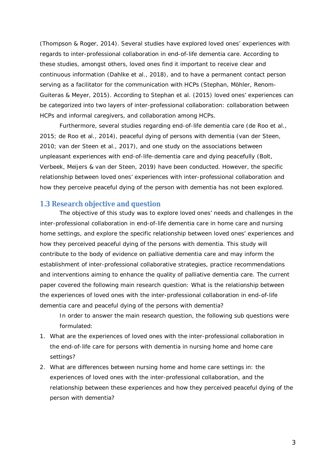(Thompson & Roger, 2014). Several studies have explored loved ones' experiences with regards to inter-professional collaboration in end-of-life dementia care. According to these studies, amongst others, loved ones find it important to receive clear and continuous information (Dahlke et al., 2018), and to have a permanent contact person serving as a facilitator for the communication with HCPs (Stephan, Möhler, Renom-Guiteras & Meyer, 2015). According to Stephan et al. (2015) loved ones' experiences can be categorized into two layers of inter-professional collaboration: collaboration between HCPs and informal caregivers, and collaboration among HCPs.

Furthermore, several studies regarding end-of-life dementia care (de Roo et al., 2015; de Roo et al., 2014), peaceful dying of persons with dementia (van der Steen, 2010; van der Steen et al., 2017), and one study on the associations between unpleasant experiences with end-of-life-dementia care and dying peacefully (Bolt, Verbeek, Meijers & van der Steen, 2019) have been conducted. However, the specific relationship between loved ones' experiences with inter-professional collaboration and how they perceive peaceful dying of the person with dementia has not been explored.

# **1.3 Research objective and question**

The objective of this study was to explore loved ones' needs and challenges in the inter-professional collaboration in end-of-life dementia care in home care and nursing home settings, and explore the specific relationship between loved ones' experiences and how they perceived peaceful dying of the persons with dementia. This study will contribute to the body of evidence on palliative dementia care and may inform the establishment of inter-professional collaborative strategies, practice recommendations and interventions aiming to enhance the quality of palliative dementia care. The current paper covered the following main research question: *What is the relationship between the experiences of loved ones with the inter-professional collaboration in end-of-life dementia care and peaceful dying of the persons with dementia?*

In order to answer the main research question, the following sub questions were formulated:

- 1. What are the experiences of loved ones with the inter-professional collaboration in the end-of-life care for persons with dementia in nursing home and home care settings?
- 2. What are differences between nursing home and home care settings in: the experiences of loved ones with the inter-professional collaboration, and the relationship between these experiences and how they perceived peaceful dying of the person with dementia?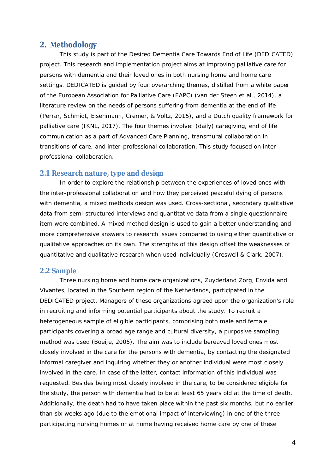# **2. Methodology**

This study is part of the Desired Dementia Care Towards End of Life (DEDICATED) project. This research and implementation project aims at improving palliative care for persons with dementia and their loved ones in both nursing home and home care settings. DEDICATED is guided by four overarching themes, distilled from a white paper of the European Association for Palliative Care (EAPC) (van der Steen et al., 2014), a literature review on the needs of persons suffering from dementia at the end of life (Perrar, Schmidt, Eisenmann, Cremer, & Voltz, 2015), and a Dutch quality framework for palliative care (IKNL, 2017). The four themes involve: (daily) caregiving, end of life communication as a part of Advanced Care Planning, transmural collaboration in transitions of care, and inter-professional collaboration. This study focused on interprofessional collaboration.

## **2.1 Research nature, type and design**

In order to explore the relationship between the experiences of loved ones with the inter-professional collaboration and how they perceived peaceful dying of persons with dementia, a mixed methods design was used. Cross-sectional, secondary qualitative data from semi-structured interviews and quantitative data from a single questionnaire item were combined. A mixed method design is used to gain a better understanding and more comprehensive answers to research issues compared to using either quantitative or qualitative approaches on its own. The strengths of this design offset the weaknesses of quantitative and qualitative research when used individually (Creswell & Clark, 2007).

# **2.2 Sample**

Three nursing home and home care organizations, Zuyderland Zorg, Envida and Vivantes, located in the Southern region of the Netherlands, participated in the DEDICATED project. Managers of these organizations agreed upon the organization's role in recruiting and informing potential participants about the study. To recruit a heterogeneous sample of eligible participants, comprising both male and female participants covering a broad age range and cultural diversity, a purposive sampling method was used (Boeije, 2005). The aim was to include bereaved loved ones most closely involved in the care for the persons with dementia, by contacting the designated informal caregiver and inquiring whether they or another individual were most closely involved in the care. In case of the latter, contact information of this individual was requested. Besides being most closely involved in the care, to be considered eligible for the study, the person with dementia had to be at least 65 years old at the time of death. Additionally, the death had to have taken place within the past six months, but no earlier than six weeks ago (due to the emotional impact of interviewing) in one of the three participating nursing homes or at home having received home care by one of these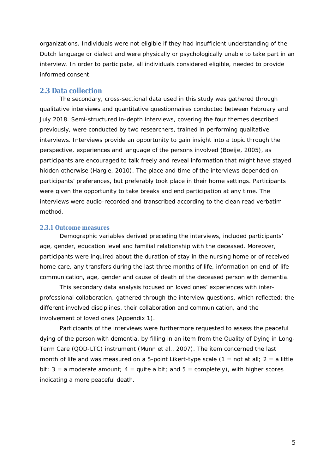organizations. Individuals were not eligible if they had insufficient understanding of the Dutch language or dialect and were physically or psychologically unable to take part in an interview. In order to participate, all individuals considered eligible, needed to provide informed consent.

# **2.3 Data collection**

The secondary, cross-sectional data used in this study was gathered through qualitative interviews and quantitative questionnaires conducted between February and July 2018. Semi-structured in-depth interviews, covering the four themes described previously, were conducted by two researchers, trained in performing qualitative interviews. Interviews provide an opportunity to gain insight into a topic through the perspective, experiences and language of the persons involved (Boeije, 2005), as participants are encouraged to talk freely and reveal information that might have stayed hidden otherwise (Hargie, 2010). The place and time of the interviews depended on participants' preferences, but preferably took place in their home settings. Participants were given the opportunity to take breaks and end participation at any time. The interviews were audio-recorded and transcribed according to the clean read verbatim method.

#### **2.3.1 Outcome measures**

Demographic variables derived preceding the interviews, included participants' age, gender, education level and familial relationship with the deceased. Moreover, participants were inquired about the duration of stay in the nursing home or of received home care, any transfers during the last three months of life, information on end-of-life communication, age, gender and cause of death of the deceased person with dementia.

This secondary data analysis focused on *loved ones' experiences with interprofessional collaboration*, gathered through the interview questions, which reflected: the different involved disciplines, their collaboration and communication, and the involvement of loved ones (Appendix 1).

Participants of the interviews were furthermore requested to assess *the peaceful dying of the person with dementia*, by filling in an item from the Quality of Dying in Long-Term Care (QOD-LTC) instrument (Munn et al., 2007). The item concerned the last month of life and was measured on a 5-point Likert-type scale  $(1 = \text{not at all}; 2 = \text{a little})$ bit;  $3 = a$  moderate amount;  $4 =$  quite a bit; and  $5 =$  completely), with higher scores indicating a more peaceful death.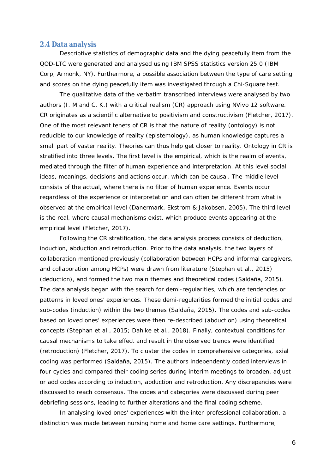#### **2.4 Data analysis**

Descriptive statistics of demographic data and the dying peacefully item from the QOD-LTC were generated and analysed using IBM SPSS statistics version 25.0 (IBM Corp, Armonk, NY). Furthermore, a possible association between the type of care setting and scores on the dying peacefully item was investigated through a Chi-Square test.

The qualitative data of the verbatim transcribed interviews were analysed by two authors (I. M and C. K.) with a critical realism (CR) approach using NVivo 12 software. CR originates as a scientific alternative to positivism and constructivism (Fletcher, 2017). One of the most relevant tenets of CR is that the nature of reality (ontology) is not reducible to our knowledge of reality (epistemology), as human knowledge captures a small part of vaster reality. Theories can thus help get closer to reality. Ontology in CR is stratified into three levels. The first level is the empirical, which is the realm of events, mediated through the filter of human experience and interpretation. At this level social ideas, meanings, decisions and actions occur, which can be causal. The middle level consists of the actual, where there is no filter of human experience. Events occur regardless of the experience or interpretation and can often be different from what is observed at the empirical level (Danermark, Ekstrom & Jakobsen, 2005). The third level is the real, where causal mechanisms exist, which produce events appearing at the empirical level (Fletcher, 2017).

Following the CR stratification, the data analysis process consists of deduction, induction, abduction and retroduction. Prior to the data analysis, the two layers of collaboration mentioned previously (collaboration between HCPs and informal caregivers, and collaboration among HCPs) were drawn from literature (Stephan et al., 2015) (deduction), and formed the two main themes and theoretical codes (Saldaña, 2015). The data analysis began with the search for demi-regularities, which are tendencies or patterns in loved ones' experiences. These demi-regularities formed the initial codes and sub-codes (induction) within the two themes (Saldaña, 2015). The codes and sub-codes based on loved ones' experiences were then re-described (abduction) using theoretical concepts (Stephan et al., 2015; Dahlke et al., 2018). Finally, contextual conditions for causal mechanisms to take effect and result in the observed trends were identified (retroduction) (Fletcher, 2017). To cluster the codes in comprehensive categories, axial coding was performed (Saldaña, 2015). The authors independently coded interviews in four cycles and compared their coding series during interim meetings to broaden, adjust or add codes according to induction, abduction and retroduction. Any discrepancies were discussed to reach consensus. The codes and categories were discussed during peer debriefing sessions, leading to further alterations and the final coding scheme.

In analysing loved ones' experiences with the inter-professional collaboration, a distinction was made between nursing home and home care settings. Furthermore,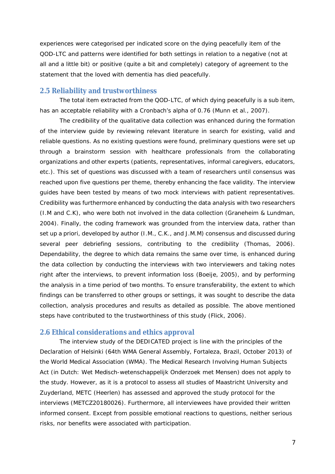experiences were categorised per indicated score on the dying peacefully item of the QOD-LTC and patterns were identified for both settings in relation to a negative (not at all and a little bit) or positive (quite a bit and completely) category of agreement to the statement that the loved with dementia has died peacefully.

## **2.5 Reliability and trustworthiness**

The total item extracted from the QOD-LTC, of which dying peacefully is a sub item, has an acceptable reliability with a Cronbach's alpha of 0.76 (Munn et al., 2007).

The credibility of the qualitative data collection was enhanced during the formation of the interview guide by reviewing relevant literature in search for existing, valid and reliable questions. As no existing questions were found, preliminary questions were set up through a brainstorm session with healthcare professionals from the collaborating organizations and other experts (patients, representatives, informal caregivers, educators, etc.). This set of questions was discussed with a team of researchers until consensus was reached upon five questions per theme, thereby enhancing the face validity. The interview guides have been tested by means of two mock interviews with patient representatives. Credibility was furthermore enhanced by conducting the data analysis with two researchers (I.M and C.K), who were both not involved in the data collection (Graneheim & Lundman, 2004). Finally, the coding framework was grounded from the interview data, rather than set up a priori, developed by author (I.M., C.K., and J.M.M) consensus and discussed during several peer debriefing sessions, contributing to the credibility (Thomas, 2006). Dependability, the degree to which data remains the same over time, is enhanced during the data collection by conducting the interviews with two interviewers and taking notes right after the interviews, to prevent information loss (Boeije, 2005), and by performing the analysis in a time period of two months. To ensure transferability, the extent to which findings can be transferred to other groups or settings, it was sought to describe the data collection, analysis procedures and results as detailed as possible. The above mentioned steps have contributed to the trustworthiness of this study (Flick, 2006).

# **2.6 Ethical considerations and ethics approval**

The interview study of the DEDICATED project is line with the principles of the Declaration of Helsinki (64th WMA General Assembly, Fortaleza, Brazil, October 2013) of the World Medical Association (WMA). The Medical Research Involving Human Subjects Act (*in Dutch: Wet Medisch-wetenschappelijk Onderzoek met Mensen*) does not apply to the study. However, as it is a protocol to assess all studies of Maastricht University and Zuyderland, METC (Heerlen) has assessed and approved the study protocol for the interviews (METCZ20180026). Furthermore, all interviewees have provided their written informed consent. Except from possible emotional reactions to questions, neither serious risks, nor benefits were associated with participation.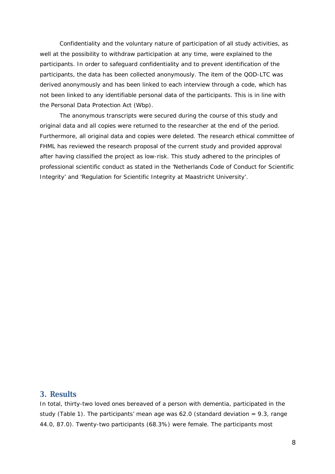Confidentiality and the voluntary nature of participation of all study activities, as well at the possibility to withdraw participation at any time, were explained to the participants. In order to safeguard confidentiality and to prevent identification of the participants, the data has been collected anonymously. The item of the QOD-LTC was derived anonymously and has been linked to each interview through a code, which has not been linked to any identifiable personal data of the participants. This is in line with the Personal Data Protection Act (Wbp).

The anonymous transcripts were secured during the course of this study and original data and all copies were returned to the researcher at the end of the period. Furthermore, all original data and copies were deleted. The research ethical committee of FHML has reviewed the research proposal of the current study and provided approval after having classified the project as low-risk. This study adhered to the principles of professional scientific conduct as stated in the 'Netherlands Code of Conduct for Scientific Integrity' and 'Regulation for Scientific Integrity at Maastricht University'.

# **3. Results**

In total, thirty-two loved ones bereaved of a person with dementia, participated in the study (Table 1). The participants' mean age was  $62.0$  (standard deviation = 9.3, range 44.0, 87.0). Twenty-two participants (68.3%) were female. The participants most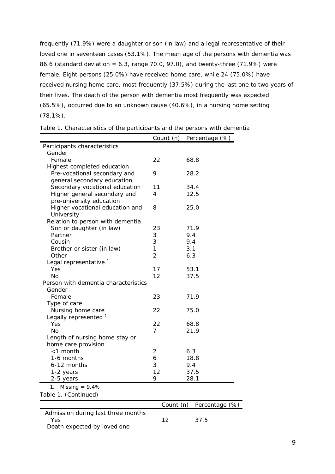frequently (71.9%) were a daughter or son (in law) and a legal representative of their loved one in seventeen cases (53.1%). The mean age of the persons with dementia was 86.6 (standard deviation = 6.3, range 70.0, 97.0), and twenty-three (71.9%) were female. Eight persons (25.0%) have received home care, while 24 (75.0%) have received nursing home care, most frequently (37.5%) during the last one to two years of their lives. The death of the person with dementia most frequently was expected (65.5%), occurred due to an unknown cause (40.6%), in a nursing home setting (78.1%).

| Table 1. Characteristics of the participants and the persons with dementia |  |  |  |  |
|----------------------------------------------------------------------------|--|--|--|--|
|----------------------------------------------------------------------------|--|--|--|--|

|                                      | Count (n)      | Percentage (%) |
|--------------------------------------|----------------|----------------|
| Participants characteristics         |                |                |
| Gender                               |                |                |
| Female                               | 22             | 68.8           |
| Highest completed education          |                |                |
| Pre-vocational secondary and         | 9              | 28.2           |
| general secondary education          |                |                |
| Secondary vocational education       | 11             | 34.4           |
| Higher general secondary and         | $\overline{4}$ | 12.5           |
| pre-university education             |                |                |
| Higher vocational education and      | 8              | 25.0           |
| University                           |                |                |
| Relation to person with dementia     |                |                |
| Son or daughter (in law)             | 23             | 71.9           |
| Partner                              | 3              | 9.4            |
| Cousin                               | 3              | 9.4            |
| Brother or sister (in law)           | $\mathbf{1}$   | 3.1            |
| Other                                | $\overline{2}$ | 6.3            |
| Legal representative <sup>1</sup>    |                |                |
| Yes                                  | 17             | 53.1           |
| No.                                  | 12             | 37.5           |
| Person with dementia characteristics |                |                |
| Gender                               |                |                |
| Female                               | 23             | 71.9           |
| Type of care                         |                |                |
| Nursing home care                    | 22             | 75.0           |
| Legally represented <sup>1</sup>     |                |                |
| Yes                                  | 22             | 68.8           |
| <b>No</b>                            | $\overline{7}$ | 21.9           |
| Length of nursing home stay or       |                |                |
| home care provision                  |                |                |
| <1 month                             | 2              | 6.3            |
| 1-6 months                           | 6              | 18.8           |
| 6-12 months                          | 3              | 9.4            |
| 1-2 years                            | 12             | 37.5           |
| 2-5 years                            | 9              | 28.1           |
| Missing = $9.4%$<br>1.               |                |                |
| Table 1. (Continued)                 |                |                |
|                                      | Count (n)      | Percentage (%) |

| Admission during last three months |     |      |  |
|------------------------------------|-----|------|--|
| Yes                                | -12 | 37.5 |  |
| Death expected by loved one        |     |      |  |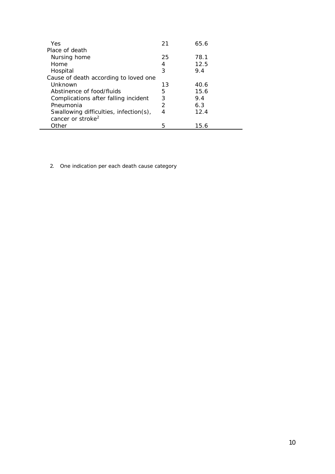| Yes                                    | 21            | 65.6 |
|----------------------------------------|---------------|------|
| Place of death                         |               |      |
| Nursing home                           | 25            | 78.1 |
| Home                                   | 4             | 12.5 |
| Hospital                               | 3             | 9.4  |
| Cause of death according to loved one  |               |      |
| Unknown                                | 13            | 40.6 |
| Abstinence of food/fluids              | 5             | 15.6 |
| Complications after falling incident   | 3             | 9.4  |
| Pneumonia                              | $\mathcal{P}$ | 6.3  |
| Swallowing difficulties, infection(s), | 4             | 12.4 |
| cancer or stroke <sup>2</sup>          |               |      |
| Other                                  | 5             | 15.6 |

2. One indication per each death cause category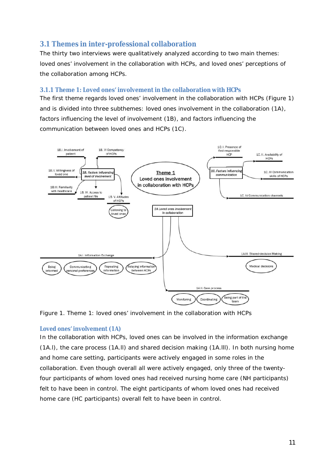# **3.1 Themes in inter-professional collaboration**

The thirty two interviews were qualitatively analyzed according to two main themes: loved ones' involvement in the collaboration with HCPs, and loved ones' perceptions of the collaboration among HCPs.

# **3.1.1 Theme 1: Loved ones' involvement in the collaboration with HCPs**

The first theme regards *loved ones' involvement in the collaboration with HCPs* (Figure 1) and is divided into three subthemes: loved ones involvement in the collaboration (1A), factors influencing the level of involvement (1B), and factors influencing the communication between loved ones and HCPs (1C).



*Figure 1. Theme 1: loved ones' involvement in the collaboration with HCPs*

# *Loved ones' involvement (1A)*

In the collaboration with HCPs, loved ones can be involved in the information exchange (1A.l), the care process (1A.ll) and shared decision making (1A.lll). In both nursing home and home care setting, participants were actively engaged in some roles in the collaboration. Even though overall all were actively engaged, only three of the twentyfour participants of whom loved ones had received nursing home care (NH participants) felt to have been in control. The eight participants of whom loved ones had received home care (HC participants) overall felt to have been in control.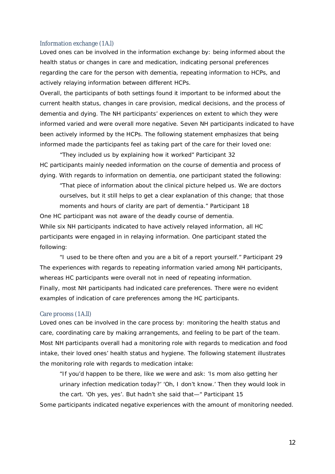#### Information exchange (1A.l)

Loved ones can be involved in the information exchange by: being informed about the health status or changes in care and medication, indicating personal preferences regarding the care for the person with dementia, repeating information to HCPs, and actively relaying information between different HCPs.

Overall, the participants of both settings found it important to be informed about the current health status, changes in care provision, medical decisions, and the process of dementia and dying. The NH participants' experiences on extent to which they were informed varied and were overall more negative. Seven NH participants indicated to have been actively informed by the HCPs. The following statement emphasizes that being informed made the participants feel as taking part of the care for their loved one:

"*They included us by explaining how it worked"* Participant 32 HC participants mainly needed information on the course of dementia and process of dying. With regards to information on dementia, one participant stated the following:

*"That piece of information about the clinical picture helped us. We are doctors ourselves, but it still helps to get a clear explanation of this change; that those moments and hours of clarity are part of dementia."* Participant 18

One HC participant was not aware of the deadly course of dementia. While six NH participants indicated to have actively relayed information, all HC participants were engaged in in relaying information. One participant stated the following:

*"I used to be there often and you are a bit of a report yourself."* Participant 29 The experiences with regards to repeating information varied among NH participants, whereas HC participants were overall not in need of repeating information. Finally, most NH participants had indicated care preferences. There were no evident examples of indication of care preferences among the HC participants.

#### Care process (1A.ll)

Loved ones can be involved in the care process by: monitoring the health status and care, coordinating care by making arrangements, and feeling to be part of the team. Most NH participants overall had a monitoring role with regards to medication and food intake, their loved ones' health status and hygiene. The following statement illustrates the monitoring role with regards to medication intake:

*"If you'd happen to be there, like we were and ask: 'Is mom also getting her urinary infection medication today?' 'Oh, I don't know.' Then they would look in the cart. 'Oh yes, yes'. But hadn't she said that—"* Participant 15

Some participants indicated negative experiences with the amount of monitoring needed.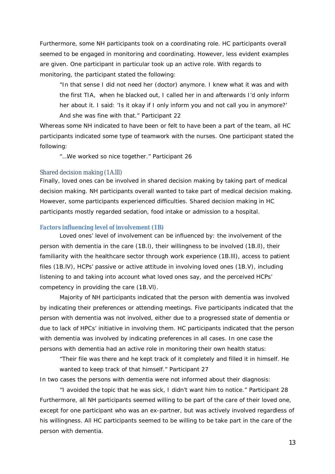Furthermore, some NH participants took on a coordinating role. HC participants overall seemed to be engaged in monitoring and coordinating. However, less evident examples are given. One participant in particular took up an active role. With regards to monitoring, the participant stated the following:

*"In that sense I did not need her (doctor) anymore. I knew what it was and with the first TIA, when he blacked out, I called her in and afterwards I'd only inform her about it. I said: 'Is it okay if I only inform you and not call you in anymore?' And she was fine with that."* Participant 22

Whereas some NH indicated to have been or felt to have been a part of the team, all HC participants indicated some type of teamwork with the nurses. One participant stated the following:

*"…We worked so nice together."* Participant 26

#### Shared decision making (1A.lll)

Finally, loved ones can be involved in shared decision making by taking part of medical decision making. NH participants overall wanted to take part of medical decision making. However, some participants experienced difficulties. Shared decision making in HC participants mostly regarded sedation, food intake or admission to a hospital.

#### *Factors influencing level of involvement (1B)*

Loved ones' level of involvement can be influenced by: the involvement of the person with dementia in the care (1B.l), their willingness to be involved (1B.ll), their familiarity with the healthcare sector through work experience (1B.lll), access to patient files (1B.lV), HCPs' passive or active attitude in involving loved ones (1B.V), including listening to and taking into account what loved ones say, and the perceived HCPs' competency in providing the care (1B.Vl).

Majority of NH participants indicated that the person with dementia was involved by indicating their preferences or attending meetings. Five participants indicated that the person with dementia was not involved, either due to a progressed state of dementia or due to lack of HPCs' initiative in involving them. HC participants indicated that the person with dementia was involved by indicating preferences in all cases. In one case the persons with dementia had an active role in monitoring their own health status:

"*Their file was there and he kept track of it completely and filled it in himself. He wanted to keep track of that himself."* Participant 27

In two cases the persons with dementia were not informed about their diagnosis:

"*I avoided the topic that he was sick, I didn't want him to notice."* Participant 28 Furthermore, all NH participants seemed willing to be part of the care of their loved one, except for one participant who was an ex-partner, but was actively involved regardless of his willingness. All HC participants seemed to be willing to be take part in the care of the person with dementia.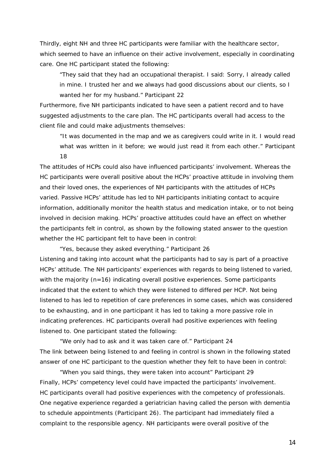Thirdly, eight NH and three HC participants were familiar with the healthcare sector, which seemed to have an influence on their active involvement, especially in coordinating care. One HC participant stated the following:

"*They said that they had an occupational therapist. I said: Sorry, I already called in mine. I trusted her and we always had good discussions about our clients, so I wanted her for my husband."* Participant 22

Furthermore, five NH participants indicated to have seen a patient record and to have suggested adjustments to the care plan. The HC participants overall had access to the client file and could make adjustments themselves:

"*It was documented in the map and we as caregivers could write in it. I would read what was written in it before; we would just read it from each other."* Participant 18

The attitudes of HCPs could also have influenced participants' involvement. Whereas the HC participants were overall positive about the HCPs' proactive attitude in involving them and their loved ones, the experiences of NH participants with the attitudes of HCPs varied. Passive HCPs' attitude has led to NH participants initiating contact to acquire information, additionally monitor the health status and medication intake, or to not being involved in decision making. HCPs' proactive attitudes could have an effect on whether the participants felt in control, as shown by the following stated answer to the question whether the HC participant felt to have been in control:

*"Yes, because they asked everything."* Participant 26 Listening and taking into account what the participants had to say is part of a proactive HCPs' attitude. The NH participants' experiences with regards to being listened to varied, with the majority  $(n=16)$  indicating overall positive experiences. Some participants indicated that the extent to which they were listened to differed per HCP. Not being listened to has led to repetition of care preferences in some cases, which was considered to be exhausting, and in one participant it has led to taking a more passive role in indicating preferences. HC participants overall had positive experiences with feeling listened to. One participant stated the following:

"*We only had to ask and it was taken care of."* Participant 24 The link between being listened to and feeling in control is shown in the following stated answer of one HC participant to the question whether they felt to have been in control:

*"When you said things, they were taken into account"* Participant 29 Finally, HCPs' competency level could have impacted the participants' involvement. HC participants overall had positive experiences with the competency of professionals. One negative experience regarded a geriatrician having called the person with dementia to schedule appointments (Participant 26). The participant had immediately filed a complaint to the responsible agency. NH participants were overall positive of the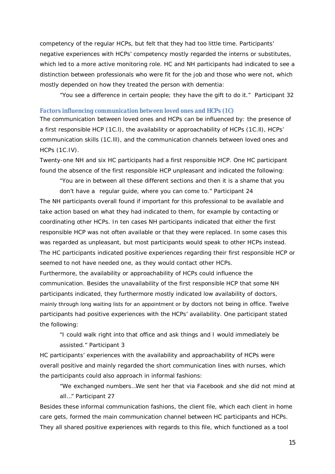competency of the regular HCPs, but felt that they had too little time. Participants' negative experiences with HCPs' competency mostly regarded the interns or substitutes, which led to a more active monitoring role. HC and NH participants had indicated to see a distinction between professionals who were fit for the job and those who were not, which mostly depended on how they treated the person with dementia:

"*You see a difference in certain people; they have the gift to do it."* Participant 32

#### *Factors influencing communication between loved ones and HCPs (1C)*

The communication between loved ones and HCPs can be influenced by: the presence of a first responsible HCP (1C.l), the availability or approachability of HCPs (1C.ll), HCPs' communication skills (1C.lll), and the communication channels between loved ones and HCPs (1C.IV).

Twenty-one NH and six HC participants had a first responsible HCP. One HC participant found the absence of the first responsible HCP unpleasant and indicated the following:

"*You are in between all these different sections and then it is a shame that you don't have a regular guide, where you can come to."* Participant 24

The NH participants overall found if important for this professional to be available and take action based on what they had indicated to them, for example by contacting or coordinating other HCPs. In ten cases NH participants indicated that either the first responsible HCP was not often available or that they were replaced. In some cases this was regarded as unpleasant, but most participants would speak to other HCPs instead. The HC participants indicated positive experiences regarding their first responsible HCP or seemed to not have needed one, as they would contact other HCPs.

Furthermore, the availability or approachability of HCPs could influence the communication. Besides the unavailability of the first responsible HCP that some NH participants indicated, they furthermore mostly indicated low availability of doctors, mainly through long waiting lists for an appointment or by doctors not being in office. Twelve participants had positive experiences with the HCPs' availability. One participant stated the following:

"*I could walk right into that office and ask things and I would immediately be assisted."* Participant 3

HC participants' experiences with the availability and approachability of HCPs were overall positive and mainly regarded the short communication lines with nurses, which the participants could also approach in informal fashions:

"*We exchanged numbers…We sent her that via Facebook and she did not mind at all…"* Participant 27

Besides these informal communication fashions, the client file, which each client in home care gets, formed the main communication channel between HC participants and HCPs. They all shared positive experiences with regards to this file, which functioned as a tool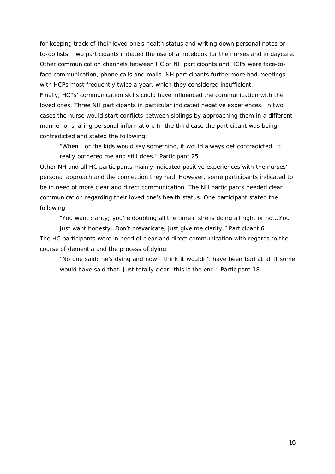for keeping track of their loved one's health status and writing down personal notes or to-do lists. Two participants initiated the use of a notebook for the nurses and in daycare. Other communication channels between HC or NH participants and HCPs were face-toface communication, phone calls and mails. NH participants furthermore had meetings with HCPs most frequently twice a year, which they considered insufficient. Finally, HCPs' communication skills could have influenced the communication with the loved ones. Three NH participants in particular indicated negative experiences. In two cases the nurse would start conflicts between siblings by approaching them in a different manner or sharing personal information. In the third case the participant was being contradicted and stated the following:

"*When I or the kids would say something, it would always get contradicted. It really bothered me and still does."* Participant 25

Other NH and all HC participants mainly indicated positive experiences with the nurses' personal approach and the connection they had. However, some participants indicated to be in need of more clear and direct communication. The NH participants needed clear communication regarding their loved one's health status. One participant stated the following:

"*You want clarity; you're doubting all the time if she is doing all right or not…You*

*just want honesty…Don't prevaricate, just give me clarity."* Participant 6 The HC participants were in need of clear and direct communication with regards to the course of dementia and the process of dying:

"*No one said: he's dying and now I think it wouldn't have been bad at all if some would have said that. Just totally clear: this is the end."* Participant 18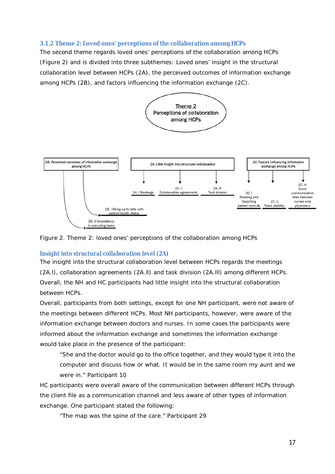# **3.1.2 Theme 2: Loved ones' perceptions of the collaboration among HCPs**

The second theme regards *loved ones' perceptions of the collaboration among HCPs* (Figure 2) and is divided into three subthemes: Loved ones' insight in the structural collaboration level between HCPs (2A), the perceived outcomes of information exchange among HCPs (2B), and factors influencing the information exchange (2C).



*Figure 2. Theme 2: loved ones' perceptions of the collaboration among HCPs*

# *Insight into structural collaboration level (2A)*

The insight into the structural collaboration level between HCPs regards the meetings (2A.l), collaboration agreements (2A.ll) and task division (2A.lll) among different HCPs. Overall, the NH and HC participants had little insight into the structural collaboration between HCPs.

Overall, participants from both settings, except for one NH participant, were not aware of the meetings between different HCPs. Most NH participants, however, were aware of the information exchange between doctors and nurses. In some cases the participants were informed about the information exchange and sometimes the information exchange would take place in the presence of the participant:

"*She and the doctor would go to the office together, and they would type it into the computer and discuss how or what. It would be in the same room my aunt and we were in."* Participant 10

HC participants were overall aware of the communication between different HCPs through the client file as a communication channel and less aware of other types of information exchange. One participant stated the following:

"*The map was the spine of the care."* Participant 29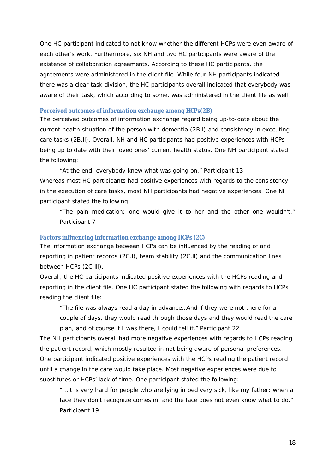One HC participant indicated to not know whether the different HCPs were even aware of each other's work. Furthermore, six NH and two HC participants were aware of the existence of collaboration agreements. According to these HC participants, the agreements were administered in the client file. While four NH participants indicated there was a clear task division, the HC participants overall indicated that everybody was aware of their task, which according to some, was administered in the client file as well.

#### *Perceived outcomes of information exchange among HCPs(2B)*

The perceived outcomes of information exchange regard being up-to-date about the current health situation of the person with dementia (2B.l) and consistency in executing care tasks (2B.ll). Overall, NH and HC participants had positive experiences with HCPs being up to date with their loved ones' current health status. One NH participant stated the following:

"*At the end, everybody knew what was going on."* Participant 13 Whereas most HC participants had positive experiences with regards to the consistency in the execution of care tasks, most NH participants had negative experiences. One NH participant stated the following:

"*The pain medication; one would give it to her and the other one wouldn't."* Participant 7

## *Factors influencing information exchange among HCPs (2C)*

The information exchange between HCPs can be influenced by the reading of and reporting in patient records (2C.l), team stability (2C.ll) and the communication lines between HCPs (2C.lll).

Overall, the HC participants indicated positive experiences with the HCPs reading and reporting in the client file. One HC participant stated the following with regards to HCPs reading the client file:

*"The file was always read a day in advance…And if they were not there for a couple of days, they would read through those days and they would read the care plan, and of course if I was there, I could tell it."* Participant 22

The NH participants overall had more negative experiences with regards to HCPs reading the patient record, which mostly resulted in not being aware of personal preferences. One participant indicated positive experiences with the HCPs reading the patient record until a change in the care would take place. Most negative experiences were due to substitutes or HCPs' lack of time. One participant stated the following:

"*...it is very hard for people who are lying in bed very sick, like my father; when a face they don't recognize comes in, and the face does not even know what to do."* Participant 19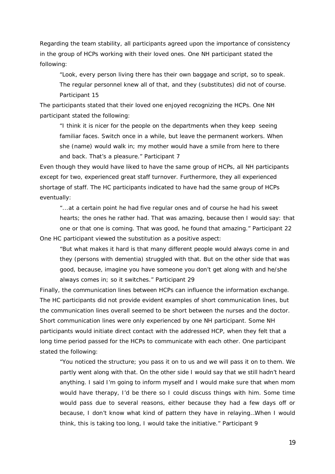Regarding the team stability, all participants agreed upon the importance of consistency in the group of HCPs working with their loved ones. One NH participant stated the following:

*"Look, every person living there has their own baggage and script, so to speak. The regular personnel knew all of that, and they (substitutes) did not of course.* Participant 15

The participants stated that their loved one enjoyed recognizing the HCPs. One NH participant stated the following:

*"I think it is nicer for the people on the departments when they keep seeing familiar faces. Switch once in a while, but leave the permanent workers. When she (name) would walk in; my mother would have a smile from here to there and back. That's a pleasure."* Participant 7

Even though they would have liked to have the same group of HCPs, all NH participants except for two, experienced great staff turnover. Furthermore, they all experienced shortage of staff. The HC participants indicated to have had the same group of HCPs eventually:

*"...at a certain point he had five regular ones and of course he had his sweet hearts; the ones he rather had. That was amazing, because then I would say: that one or that one is coming. That was good, he found that amazing."* Participant 22 One HC participant viewed the substitution as a positive aspect:

*"But what makes it hard is that many different people would always come in and they (persons with dementia) struggled with that. But on the other side that was good, because, imagine you have someone you don't get along with and he/she always comes in; so it switches."* Participant 29

Finally, the communication lines between HCPs can influence the information exchange. The HC participants did not provide evident examples of short communication lines, but the communication lines overall seemed to be short between the nurses and the doctor. Short communication lines were only experienced by one NH participant. Some NH participants would initiate direct contact with the addressed HCP, when they felt that a long time period passed for the HCPs to communicate with each other. One participant stated the following:

*"You noticed the structure; you pass it on to us and we will pass it on to them. We partly went along with that. On the other side I would say that we still hadn't heard anything. I said I'm going to inform myself and I would make sure that when mom would have therapy, I'd be there so I could discuss things with him. Some time would pass due to several reasons, either because they had a few days off or because, I don't know what kind of pattern they have in relaying…When I would think, this is taking too long, I would take the initiative."* Participant 9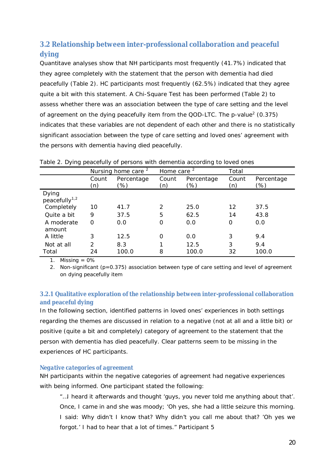# **3.2 Relationship between inter-professional collaboration and peaceful dying**

Quantitave analyses show that NH participants most frequently (41.7%) indicated that they agree completely with the statement that the person with dementia had died peacefully (Table 2). HC participants most frequently (62.5%) indicated that they agree quite a bit with this statement. A Chi-Square Test has been performed (Table 2) to assess whether there was an association between the type of care setting and the level of agreement on the dying peacefully item from the QOD-LTC. The p-value<sup>2</sup> (0.375) indicates that these variables are not dependent of each other and there is no statistically significant association between the type of care setting and loved ones' agreement with the persons with dementia having died peacefully.

|                                    |               | Nursing home care <sup>2</sup> | Home care <sup>2</sup> |                   | Total        |                   |
|------------------------------------|---------------|--------------------------------|------------------------|-------------------|--------------|-------------------|
|                                    | Count<br>(n)  | Percentage<br>(%)              | Count<br>(n)           | Percentage<br>(%) | Count<br>(n) | Percentage<br>(%) |
| Dying<br>peacefully <sup>1,2</sup> |               |                                |                        |                   |              |                   |
| Completely                         | 10            | 41.7                           | 2                      | 25.0              | 12           | 37.5              |
| Quite a bit                        | 9             | 37.5                           | 5                      | 62.5              | 14           | 43.8              |
| A moderate<br>amount               | $\Omega$      | 0.0                            | 0                      | 0.0               | 0            | 0.0               |
| A little                           | 3             | 12.5                           | 0                      | 0.0               | 3            | 9.4               |
| Not at all                         | $\mathcal{P}$ | 8.3                            |                        | 12.5              | 3            | 9.4               |
| Total                              | 24            | 100.0                          | 8                      | 100.0             | 32           | 100.0             |

*Table 2. Dying peacefully of persons with dementia according to loved ones*

1. Missing  $= 0\%$ 

2. Non-significant (*p=*0.375) association between type of care setting and level of agreement on dying peacefully item

# **3.2.1 Qualitative exploration of the relationship between inter-professional collaboration and peaceful dying**

In the following section, identified patterns in loved ones' experiences in both settings regarding the themes are discussed in relation to a negative (not at all and a little bit) or positive (quite a bit and completely) category of agreement to the statement that the person with dementia has died peacefully. Clear patterns seem to be missing in the experiences of HC participants.

# *Negative categories of agreement*

NH participants within the negative categories of agreement had negative experiences with being informed. One participant stated the following:

*"…I heard it afterwards and thought 'guys, you never told me anything about that'. Once, I came in and she was moody; 'Oh yes, she had a little seizure this morning. I said: Why didn't I know that? Why didn't you call me about that? 'Oh yes we forgot.' I had to hear that a lot of times."* Participant 5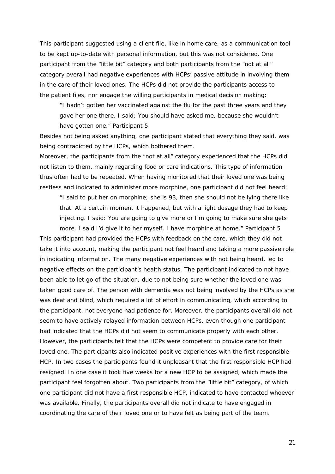This participant suggested using a client file, like in home care, as a communication tool to be kept up-to-date with personal information, but this was not considered. One participant from the "little bit" category and both participants from the "not at all" category overall had negative experiences with HCPs' passive attitude in involving them in the care of their loved ones. The HCPs did not provide the participants access to the patient files, nor engage the willing participants in medical decision making:

"*I hadn't gotten her vaccinated against the flu for the past three years and they gave her one there. I said: You should have asked me, because she wouldn't have gotten one."* Participant 5

Besides not being asked anything, one participant stated that everything they said, was being contradicted by the HCPs, which bothered them.

Moreover, the participants from the "not at all" category experienced that the HCPs did not listen to them, mainly regarding food or care indications. This type of information thus often had to be repeated. When having monitored that their loved one was being restless and indicated to administer more morphine, one participant did not feel heard:

*"I said to put her on morphine; she is 93, then she should not be lying there like that. At a certain moment it happened, but with a light dosage they had to keep injecting. I said: You are going to give more or I'm going to make sure she gets more. I said I'd give it to her myself. I have morphine at home."* Participant 5

This participant had provided the HCPs with feedback on the care, which they did not take it into account, making the participant not feel heard and taking a more passive role in indicating information. The many negative experiences with not being heard, led to negative effects on the participant's health status. The participant indicated to not have been able to let go of the situation, due to not being sure whether the loved one was taken good care of. The person with dementia was not being involved by the HCPs as she was deaf and blind, which required a lot of effort in communicating, which according to the participant, not everyone had patience for. Moreover, the participants overall did not seem to have actively relayed information between HCPs, even though one participant had indicated that the HCPs did not seem to communicate properly with each other. However, the participants felt that the HCPs were competent to provide care for their loved one. The participants also indicated positive experiences with the first responsible HCP. In two cases the participants found it unpleasant that the first responsible HCP had resigned. In one case it took five weeks for a new HCP to be assigned, which made the participant feel forgotten about. Two participants from the "little bit" category, of which one participant did not have a first responsible HCP, indicated to have contacted whoever was available. Finally, the participants overall did not indicate to have engaged in coordinating the care of their loved one or to have felt as being part of the team.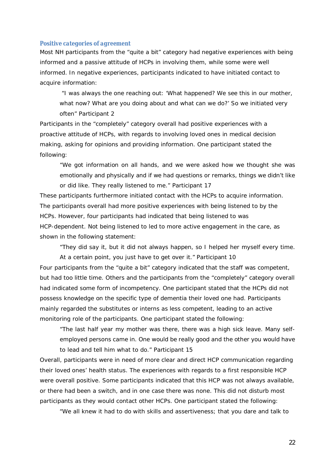#### *Positive categories of agreement*

Most NH participants from the "quite a bit" category had negative experiences with being informed and a passive attitude of HCPs in involving them, while some were well informed. In negative experiences, participants indicated to have initiated contact to acquire information:

 "*I was always the one reaching out: 'What happened? We see this in our mother, what now? What are you doing about and what can we do?' So we initiated very often"* Participant 2

Participants in the "completely" category overall had positive experiences with a proactive attitude of HCPs, with regards to involving loved ones in medical decision making, asking for opinions and providing information. One participant stated the following:

*"We got information on all hands, and we were asked how we thought she was emotionally and physically and if we had questions or remarks, things we didn't like or did like. They really listened to me."* Participant 17

These participants furthermore initiated contact with the HCPs to acquire information. The participants overall had more positive experiences with being listened to by the HCPs. However, four participants had indicated that being listened to was HCP-dependent. Not being listened to led to more active engagement in the care, as shown in the following statement:

"*They did say it, but it did not always happen, so I helped her myself every time.*

*At a certain point, you just have to get over it."* Participant 10 Four participants from the "quite a bit" category indicated that the staff was competent, but had too little time. Others and the participants from the "completely" category overall had indicated some form of incompetency. One participant stated that the HCPs did not possess knowledge on the specific type of dementia their loved one had. Participants mainly regarded the substitutes or interns as less competent, leading to an active monitoring role of the participants. One participant stated the following:

"*The last half year my mother was there, there was a high sick leave. Many selfemployed persons came in. One would be really good and the other you would have to lead and tell him what to do."* Participant 15

Overall, participants were in need of more clear and direct HCP communication regarding their loved ones' health status. The experiences with regards to a first responsible HCP were overall positive. Some participants indicated that this HCP was not always available, or there had been a switch, and in one case there was none. This did not disturb most participants as they would contact other HCPs. One participant stated the following:

"*We all knew it had to do with skills and assertiveness; that you dare and talk to*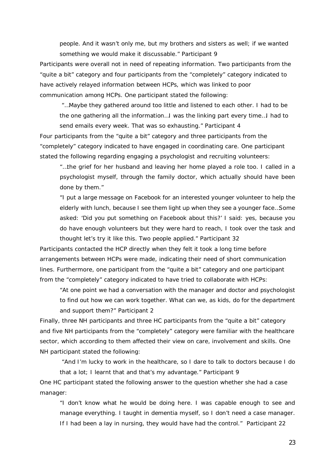*people. And it wasn't only me, but my brothers and sisters as well; if we wanted something we would make it discussable."* Participant 9

Participants were overall not in need of repeating information. Two participants from the "quite a bit" category and four participants from the "completely" category indicated to have actively relayed information between HCPs, which was linked to poor communication among HCPs. One participant stated the following:

 "*…Maybe they gathered around too little and listened to each other. I had to be the one gathering all the information…I was the linking part every time…I had to send emails every week. That was so exhausting."* Participant 4

Four participants from the "quite a bit" category and three participants from the "completely" category indicated to have engaged in coordinating care. One participant stated the following regarding engaging a psychologist and recruiting volunteers:

*"…the grief for her husband and leaving her home played a role too. I called in a psychologist myself, through the family doctor, which actually should have been done by them."*

*"I put a large message on Facebook for an interested younger volunteer to help the elderly with lunch, because I see them light up when they see a younger face…Some asked: 'Did you put something on Facebook about this?' I said*: *yes, because you do have enough volunteers but they were hard to reach, I took over the task and thought let's try it like this. Two people applied."* Participant 32

Participants contacted the HCP directly when they felt it took a long time before arrangements between HCPs were made, indicating their need of short communication lines. Furthermore, one participant from the "quite a bit" category and one participant from the "completely" category indicated to have tried to collaborate with HCPs:

"*At one point we had a conversation with the manager and doctor and psychologist to find out how we can work together. What can we, as kids, do for the department and support them?"* Participant 2

Finally, three NH participants and three HC participants from the "quite a bit" category and five NH participants from the "completely" category were familiar with the healthcare sector, which according to them affected their view on care, involvement and skills. One NH participant stated the following:

 "*And I'm lucky to work in the healthcare, so I dare to talk to doctors because I do that a lot; I learnt that and that's my advantage."* Participant 9

One HC participant stated the following answer to the question whether she had a case manager:

"*I don't know what he would be doing here. I was capable enough to see and manage everything. I taught in dementia myself, so I don't need a case manager. If I had been a lay in nursing, they would have had the control."* Participant 22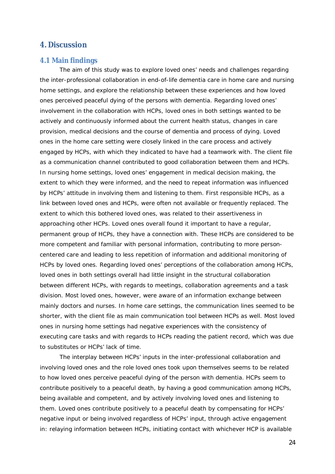# **4. Discussion**

## **4.1 Main findings**

The aim of this study was to explore loved ones' needs and challenges regarding the inter-professional collaboration in end-of-life dementia care in home care and nursing home settings, and explore the relationship between these experiences and how loved ones perceived peaceful dying of the persons with dementia. Regarding loved ones' involvement in the collaboration with HCPs, loved ones in both settings wanted to be actively and continuously informed about the current health status, changes in care provision, medical decisions and the course of dementia and process of dying. Loved ones in the home care setting were closely linked in the care process and actively engaged by HCPs, with which they indicated to have had a teamwork with. The client file as a communication channel contributed to good collaboration between them and HCPs. In nursing home settings, loved ones' engagement in medical decision making, the extent to which they were informed, and the need to repeat information was influenced by HCPs' attitude in involving them and listening to them. First responsible HCPs, as a link between loved ones and HCPs, were often not available or frequently replaced. The extent to which this bothered loved ones, was related to their assertiveness in approaching other HCPs. Loved ones overall found it important to have a regular, permanent group of HCPs, they have a connection with. These HCPs are considered to be more competent and familiar with personal information, contributing to more personcentered care and leading to less repetition of information and additional monitoring of HCPs by loved ones. Regarding loved ones' perceptions of the collaboration among HCPs, loved ones in both settings overall had little insight in the structural collaboration between different HCPs, with regards to meetings, collaboration agreements and a task division. Most loved ones, however, were aware of an information exchange between mainly doctors and nurses. In home care settings, the communication lines seemed to be shorter, with the client file as main communication tool between HCPs as well. Most loved ones in nursing home settings had negative experiences with the consistency of executing care tasks and with regards to HCPs reading the patient record, which was due to substitutes or HCPs' lack of time.

The interplay between HCPs' inputs in the inter-professional collaboration and involving loved ones and the role loved ones took upon themselves seems to be related to how loved ones perceive peaceful dying of the person with dementia. HCPs seem to contribute positively to a peaceful death, by having a good communication among HCPs, being available and competent, and by actively involving loved ones and listening to them. Loved ones contribute positively to a peaceful death by compensating for HCPs' negative input or being involved regardless of HCPs' input, through active engagement in: relaying information between HCPs, initiating contact with whichever HCP is available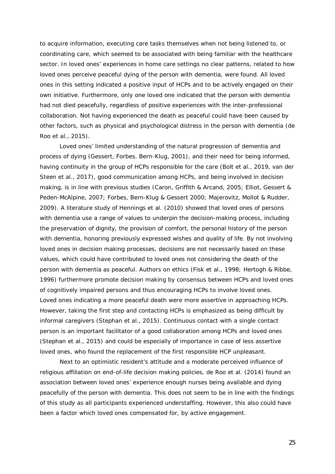to acquire information, executing care tasks themselves when not being listened to, or coordinating care, which seemed to be associated with being familiar with the healthcare sector. In loved ones' experiences in home care settings no clear patterns, related to how loved ones perceive peaceful dying of the person with dementia, were found. All loved ones in this setting indicated a positive input of HCPs and to be actively engaged on their own initiative. Furthermore, only one loved one indicated that the person with dementia had not died peacefully, regardless of positive experiences with the inter-professional collaboration. Not having experienced the death as peaceful could have been caused by other factors, such as physical and psychological distress in the person with dementia (de Roo et al., 2015).

Loved ones' limited understanding of the natural progression of dementia and process of dying (Gessert, Forbes, Bern-Klug, 2001), and their need for being informed, having continuity in the group of HCPs responsible for the care (Bolt et al., 2019, van der Steen et al., 2017), good communication among HCPs, and being involved in decision making, is in line with previous studies (Caron, Griffith & Arcand, 2005; Elliot, Gessert & Peden-McAlpine, 2007; Forbes, Bern-Klug & Gessert 2000; Majerovitz, Mollot & Rudder, 2009). A literature study of Hennings et al. (2010) showed that loved ones of persons with dementia use a range of values to underpin the decision-making process, including the preservation of dignity, the provision of comfort, the personal history of the person with dementia, honoring previously expressed wishes and quality of life. By not involving loved ones in decision making processes, decisions are not necessarily based on these values, which could have contributed to loved ones not considering the death of the person with dementia as peaceful. Authors on ethics (Fisk et al., 1998; Hertogh & Ribbe, 1996) furthermore promote decision making by consensus between HCPs and loved ones of cognitively impaired persons and thus encouraging HCPs to involve loved ones. Loved ones indicating a more peaceful death were more assertive in approaching HCPs. However, taking the first step and contacting HCPs is emphasized as being difficult by informal caregivers (Stephan et al., 2015). Continuous contact with a single contact person is an important facilitator of a good collaboration among HCPs and loved ones (Stephan et al., 2015) and could be especially of importance in case of less assertive loved ones, who found the replacement of the first responsible HCP unpleasant.

Next to an optimistic resident's attitude and a moderate perceived influence of religious affiliation on end-of-life decision making policies, de Roo et al. (2014) found an association between loved ones' experience enough nurses being available and dying peacefully of the person with dementia. This does not seem to be in line with the findings of this study as all participants experienced understaffing. However, this also could have been a factor which loved ones compensated for, by active engagement.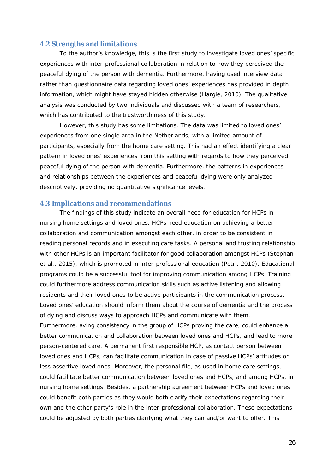# **4.2 Strengths and limitations**

To the author's knowledge, this is the first study to investigate loved ones' specific experiences with inter-professional collaboration in relation to how they perceived the peaceful dying of the person with dementia. Furthermore, having used interview data rather than questionnaire data regarding loved ones' experiences has provided in depth information, which might have stayed hidden otherwise (Hargie, 2010). The qualitative analysis was conducted by two individuals and discussed with a team of researchers, which has contributed to the trustworthiness of this study.

However, this study has some limitations. The data was limited to loved ones' experiences from one single area in the Netherlands, with a limited amount of participants, especially from the home care setting. This had an effect identifying a clear pattern in loved ones' experiences from this setting with regards to how they perceived peaceful dying of the person with dementia. Furthermore, the patterns in experiences and relationships between the experiences and peaceful dying were only analyzed descriptively, providing no quantitative significance levels.

# **4.3 Implications and recommendations**

The findings of this study indicate an overall need for education for HCPs in nursing home settings and loved ones. HCPs need education on achieving a better collaboration and communication amongst each other, in order to be consistent in reading personal records and in executing care tasks. A personal and trusting relationship with other HCPs is an important facilitator for good collaboration amongst HCPs (Stephan et al., 2015), which is promoted in inter-professional education (Petri, 2010). Educational programs could be a successful tool for improving communication among HCPs. Training could furthermore address communication skills such as active listening and allowing residents and their loved ones to be active participants in the communication process. Loved ones' education should inform them about the course of dementia and the process of dying and discuss ways to approach HCPs and communicate with them. Furthermore, aving consistency in the group of HCPs proving the care, could enhance a better communication and collaboration between loved ones and HCPs, and lead to more person-centered care. A permanent first responsible HCP, as contact person between loved ones and HCPs, can facilitate communication in case of passive HCPs' attitudes or less assertive loved ones. Moreover, the personal file, as used in home care settings, could facilitate better communication between loved ones and HCPs, and among HCPs, in nursing home settings. Besides, a partnership agreement between HCPs and loved ones could benefit both parties as they would both clarify their expectations regarding their own and the other party's role in the inter-professional collaboration. These expectations could be adjusted by both parties clarifying what they can and/or want to offer. This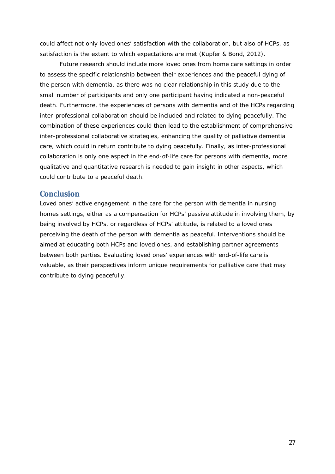could affect not only loved ones' satisfaction with the collaboration, but also of HCPs, as satisfaction is the extent to which expectations are met (Kupfer & Bond, 2012).

Future research should include more loved ones from home care settings in order to assess the specific relationship between their experiences and the peaceful dying of the person with dementia, as there was no clear relationship in this study due to the small number of participants and only one participant having indicated a non-peaceful death. Furthermore, the experiences of persons with dementia and of the HCPs regarding inter-professional collaboration should be included and related to dying peacefully. The combination of these experiences could then lead to the establishment of comprehensive inter-professional collaborative strategies, enhancing the quality of palliative dementia care, which could in return contribute to dying peacefully. Finally, as inter-professional collaboration is only one aspect in the end-of-life care for persons with dementia, more qualitative and quantitative research is needed to gain insight in other aspects, which could contribute to a peaceful death.

# **Conclusion**

Loved ones' active engagement in the care for the person with dementia in nursing homes settings, either as a compensation for HCPs' passive attitude in involving them, by being involved by HCPs, or regardless of HCPs' attitude, is related to a loved ones perceiving the death of the person with dementia as peaceful. Interventions should be aimed at educating both HCPs and loved ones, and establishing partner agreements between both parties. Evaluating loved ones' experiences with end-of-life care is valuable, as their perspectives inform unique requirements for palliative care that may contribute to dying peacefully.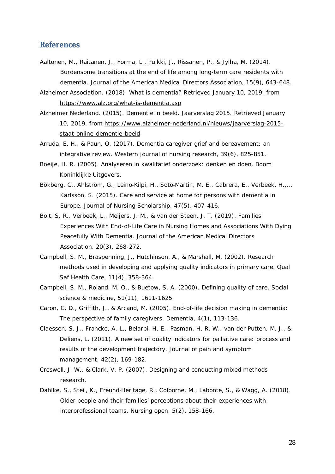# **References**

- Aaltonen, M., Raitanen, J., Forma, L., Pulkki, J., Rissanen, P., & Jylha, M. (2014). Burdensome transitions at the end of life among long-term care residents with dementia. *Journal of the American Medical Directors Association, 15*(9), 643-648.
- Alzheimer Association. (2018). *What is dementia?* Retrieved January 10, 2019, from https://www.alz.org/what-is-dementia.asp

Alzheimer Nederland. (2015). *Dementie in beeld. Jaarverslag 2015.* Retrieved January 10, 2019, from https://www.alzheimer-nederland.nl/nieuws/jaarverslag-2015 staat-online-dementie-beeld

- Arruda, E. H., & Paun, O. (2017). Dementia caregiver grief and bereavement: an integrative review. *Western journal of nursing research*, *39*(6), 825-851.
- Boeije, H. R. (2005). *Analyseren in kwalitatief onderzoek: denken en doen*. Boom Koninklijke Uitgevers.
- Bökberg, C., Ahlström, G., Leino-Kilpi, H., Soto-Martin, M. E., Cabrera, E., Verbeek, H.,... Karlsson, S. (2015). Care and service at home for persons with dementia in Europe. *Journal of Nursing Scholarship, 47*(5), 407-416.
- Bolt, S. R., Verbeek, L., Meijers, J. M., & van der Steen, J. T. (2019). Families' Experiences With End-of-Life Care in Nursing Homes and Associations With Dying Peacefully With Dementia. *Journal of the American Medical Directors Association*, *20*(3), 268-272.
- Campbell, S. M., Braspenning, J., Hutchinson, A., & Marshall, M. (2002). Research methods used in developing and applying quality indicators in primary care. *Qual Saf Health Care*, *11*(4), 358-364.
- Campbell, S. M., Roland, M. O., & Buetow, S. A. (2000). Defining quality of care. *Social science & medicine*, *51*(11), 1611-1625.
- Caron, C. D., Griffith, J., & Arcand, M. (2005). End-of-life decision making in dementia: The perspective of family caregivers. *Dementia*, *4*(1), 113-136.
- Claessen, S. J., Francke, A. L., Belarbi, H. E., Pasman, H. R. W., van der Putten, M. J., & Deliens, L. (2011). A new set of quality indicators for palliative care: process and results of the development trajectory. *Journal of pain and symptom management*, *42*(2), 169-182.
- Creswell, J. W., & Clark, V. P. (2007). *Designing and conducting mixed methods research.*
- Dahlke, S., Steil, K., Freund-Heritage, R., Colborne, M., Labonte, S., & Wagg, A. (2018). Older people and their families' perceptions about their experiences with interprofessional teams. *Nursing open*, *5*(2), 158-166.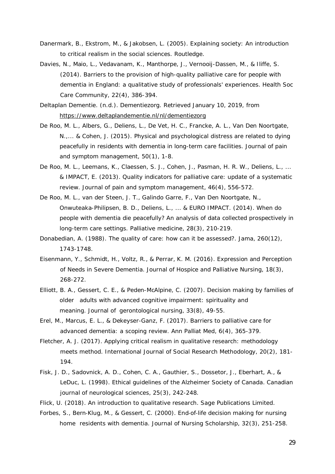- Danermark, B., Ekstrom, M., & Jakobsen, L. (2005). *Explaining society: An introduction to critical realism in the social sciences*. Routledge.
- Davies, N., Maio, L., Vedavanam, K., Manthorpe, J., Vernooij-Dassen, M., & Iliffe, S. (2014). Barriers to the provision of high-quality palliative care for people with dementia in England: a qualitative study of professionals' experiences. *Health Soc Care Community, 22*(4), 386-394.
- Deltaplan Dementie. (n.d.). *Dementiezorg.* Retrieved January 10, 2019, from https://www.deltaplandementie.nl/nl/dementiezorg
- De Roo, M. L., Albers, G., Deliens, L., De Vet, H. C., Francke, A. L., Van Den Noortgate, N.,... & Cohen, J. (2015). Physical and psychological distress are related to dying peacefully in residents with dementia in long-term care facilities. *Journal of pain and symptom management*, *50*(1), 1-8.
- De Roo, M. L., Leemans, K., Claessen, S. J., Cohen, J., Pasman, H. R. W., Deliens, L., ... & IMPACT, E. (2013). Quality indicators for palliative care: update of a systematic review. *Journal of pain and symptom management*, *46*(4), 556-572.
- De Roo, M. L., van der Steen, J. T., Galindo Garre, F., Van Den Noortgate, N., Onwuteaka-Philipsen, B. D., Deliens, L., ... & EURO IMPACT. (2014). When do people with dementia die peacefully? An analysis of data collected prospectively in long-term care settings. *Palliative medicine*, *28*(3), 210-219.
- Donabedian, A. (1988). The quality of care: how can it be assessed?. *Jama*, *260*(12), 1743-1748.
- Eisenmann, Y., Schmidt, H., Voltz, R., & Perrar, K. M. (2016). Expression and Perception of Needs in Severe Dementia. *Journal of Hospice and Palliative Nursing, 18*(3), 268-272.
- Elliott, B. A., Gessert, C. E., & Peden-McAlpine, C. (2007). Decision making by families of older adults with advanced cognitive impairment: spirituality and meaning. *Journal of gerontological nursing*, *33*(8), 49-55.
- Erel, M., Marcus, E. L., & Dekeyser-Ganz, F. (2017). Barriers to palliative care for advanced dementia: a scoping review. *Ann Palliat Med, 6*(4), 365-379.
- Fletcher, A. J. (2017). Applying critical realism in qualitative research: methodology meets method. *International Journal of Social Research Methodology*, *20*(2), 181- 194.
- Fisk, J. D., Sadovnick, A. D., Cohen, C. A., Gauthier, S., Dossetor, J., Eberhart, A., & LeDuc, L. (1998). Ethical guidelines of the Alzheimer Society of Canada. *Canadian journal of neurological sciences*, *25*(3), 242-248.
- Flick, U. (2018). *An introduction to qualitative research*. Sage Publications Limited.
- Forbes, S., Bern-Klug, M., & Gessert, C. (2000). End-of-life decision making for nursing home residents with dementia. *Journal of Nursing Scholarship*, *32*(3), 251-258.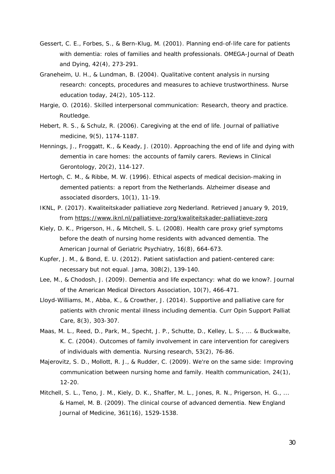- Gessert, C. E., Forbes, S., & Bern-Klug, M. (2001). Planning end-of-life care for patients with dementia: roles of families and health professionals. *OMEGA-Journal of Death and Dying*, *42*(4), 273-291.
- Graneheim, U. H., & Lundman, B. (2004). Qualitative content analysis in nursing research: concepts, procedures and measures to achieve trustworthiness. *Nurse education today*, *24*(2), 105-112.
- Hargie, O. (2016). *Skilled interpersonal communication: Research, theory and practice*. Routledge.
- Hebert, R. S., & Schulz, R. (2006). Caregiving at the end of life. *Journal of palliative medicine*, *9*(5), 1174-1187.
- Hennings, J., Froggatt, K., & Keady, J. (2010). Approaching the end of life and dying with dementia in care homes: the accounts of family carers. *Reviews in Clinical Gerontology*, *20*(2), 114-127.
- Hertogh, C. M., & Ribbe, M. W. (1996). Ethical aspects of medical decision-making in demented patients: a report from the Netherlands. *Alzheimer disease and associated disorders*, *10*(1), 11-19.
- IKNL, P. (2017). *Kwaliteitskader palliatieve zorg Nederland.* Retrieved January 9, 2019, from https://www.iknl.nl/palliatieve-zorg/kwaliteitskader-palliatieve-zorg
- Kiely, D. K., Prigerson, H., & Mitchell, S. L. (2008). Health care proxy grief symptoms before the death of nursing home residents with advanced dementia. *The American Journal of Geriatric Psychiatry*, *16*(8), 664-673.
- Kupfer, J. M., & Bond, E. U. (2012). Patient satisfaction and patient-centered care: necessary but not equal. *Jama*, *308*(2), 139-140.
- Lee, M., & Chodosh, J. (2009). Dementia and life expectancy: what do we know?. *Journal of the American Medical Directors Association*, *10*(7), 466-471.
- Lloyd-Williams, M., Abba, K., & Crowther, J. (2014). Supportive and palliative care for patients with chronic mental illness including dementia. *Curr Opin Support Palliat Care, 8*(3), 303-307.
- Maas, M. L., Reed, D., Park, M., Specht, J. P., Schutte, D., Kelley, L. S., ... & Buckwalte, K. C. (2004). Outcomes of family involvement in care intervention for caregivers of individuals with dementia. *Nursing research*, *53*(2), 76-86.
- Majerovitz, S. D., Mollott, R. J., & Rudder, C. (2009). We're on the same side: Improving communication between nursing home and family. *Health communication*, *24*(1), 12-20.
- Mitchell, S. L., Teno, J. M., Kiely, D. K., Shaffer, M. L., Jones, R. N., Prigerson, H. G., ... & Hamel, M. B. (2009). The clinical course of advanced dementia. *New England Journal of Medicine*, *361*(16), 1529-1538.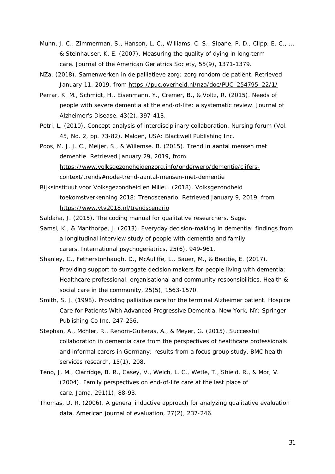- Munn, J. C., Zimmerman, S., Hanson, L. C., Williams, C. S., Sloane, P. D., Clipp, E. C., ... & Steinhauser, K. E. (2007). Measuring the quality of dying in long-term care. *Journal of the American Geriatrics Society*, *55*(9), 1371-1379.
- NZa. (2018). *Samenwerken in de palliatieve zorg: zorg rondom de patiënt.* Retrieved January 11, 2019, from https://puc.overheid.nl/nza/doc/PUC\_254795\_22/1/
- Perrar, K. M., Schmidt, H., Eisenmann, Y., Cremer, B., & Voltz, R. (2015). Needs of people with severe dementia at the end-of-life: a systematic review. *Journal of Alzheimer's Disease, 43*(2), 397-413.
- Petri, L. (2010). Concept analysis of interdisciplinary collaboration. *Nursing forum* (Vol. 45, No. 2, pp. 73-82). Malden, USA: Blackwell Publishing Inc.
- Poos, M. J. J. C., Meijer, S., & Willemse. B. (2015). *Trend in aantal mensen met dementie.* Retrieved January 29, 2019, from https://www.volksgezondheidenzorg.info/onderwerp/dementie/cijferscontext/trends#node-trend-aantal-mensen-met-dementie
- Rijksinstituut voor Volksgezondheid en Milieu. (2018). *Volksgezondheid toekomstverkenning 2018: Trendscenario.* Retrieved January 9, 2019, from https://www.vtv2018.nl/trendscenario

Saldaña, J. (2015). *The coding manual for qualitative researchers*. Sage.

- Samsi, K., & Manthorpe, J. (2013). Everyday decision-making in dementia: findings from a longitudinal interview study of people with dementia and family carers. *International psychogeriatrics*, *25*(6), 949-961.
- Shanley, C., Fetherstonhaugh, D., McAuliffe, L., Bauer, M., & Beattie, E. (2017). Providing support to surrogate decision-makers for people living with dementia: Healthcare professional, organisational and community responsibilities. *Health & social care in the community*, *25*(5), 1563-1570.
- Smith, S. J. (1998). Providing palliative care for the terminal Alzheimer patient. Hospice Care for Patients With Advanced Progressive Dementia*. New York, NY: Springer Publishing Co Inc*, 247-256.
- Stephan, A., Möhler, R., Renom-Guiteras, A., & Meyer, G. (2015). Successful collaboration in dementia care from the perspectives of healthcare professionals and informal carers in Germany: results from a focus group study. *BMC health services research, 15*(1), 208.
- Teno, J. M., Clarridge, B. R., Casey, V., Welch, L. C., Wetle, T., Shield, R., & Mor, V. (2004). Family perspectives on end-of-life care at the last place of care. *Jama, 291*(1), 88-93.
- Thomas, D. R. (2006). A general inductive approach for analyzing qualitative evaluation data. *American journal of evaluation, 27*(2), 237-246.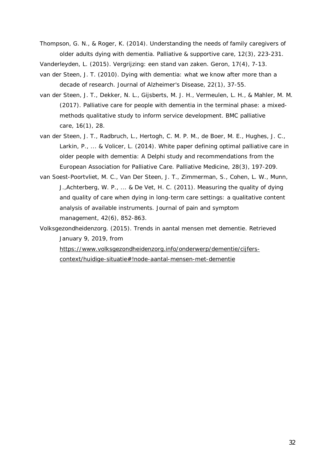Thompson, G. N., & Roger, K. (2014). Understanding the needs of family caregivers of older adults dying with dementia. *Palliative & supportive care, 12*(3), 223-231.

Vanderleyden, L. (2015). Vergrijzing: een stand van zaken. Geron, 17(4), 7-13.

- van der Steen, J. T. (2010). Dying with dementia: what we know after more than a decade of research. *Journal of Alzheimer's Disease, 22*(1), 37-55.
- van der Steen, J. T., Dekker, N. L., Gijsberts, M. J. H., Vermeulen, L. H., & Mahler, M. M. (2017). Palliative care for people with dementia in the terminal phase: a mixedmethods qualitative study to inform service development. *BMC palliative care, 16*(1), 28.
- van der Steen, J. T., Radbruch, L., Hertogh, C. M. P. M., de Boer, M. E., Hughes, J. C., Larkin, P., ... & Volicer, L. (2014). White paper defining optimal palliative care in older people with dementia: A Delphi study and recommendations from the European Association for Palliative Care. *Palliative Medicine, 28*(3), 197-209.
- van Soest-Poortvliet, M. C., Van Der Steen, J. T., Zimmerman, S., Cohen, L. W., Munn, J.,Achterberg, W. P., ... & De Vet, H. C. (2011). Measuring the quality of dying and quality of care when dying in long-term care settings: a qualitative content analysis of available instruments. *Journal of pain and symptom management, 42*(6), 852-863.
- Volksgezondheidenzorg. (2015). *Trends in aantal mensen met dementie*. Retrieved January 9, 2019, from

https://www.volksgezondheidenzorg.info/onderwerp/dementie/cijferscontext/huidige-situatie#!node-aantal-mensen-met-dementie